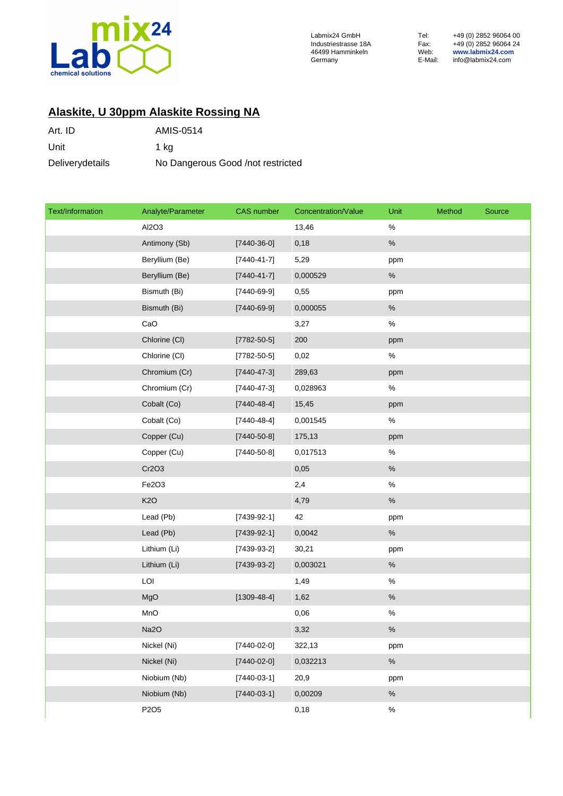

46499 Hamminkeln Web: **www.labmix24.com** Germany E-Mail: info@labmix24.com

Labmix24 GmbH Tel: +49 (0) 2852 96064 00 Industriestrasse 18A Fax: +49 (0) 2852 96064 24

## **Alaskite, U 30ppm Alaskite Rossing NA**

| Art. ID         | AMIS-0514                         |
|-----------------|-----------------------------------|
| Unit            | 1 ka                              |
| Deliverydetails | No Dangerous Good /not restricted |

| Text/Information | Analyte/Parameter | <b>CAS</b> number | Concentration/Value | Unit | Method | Source |
|------------------|-------------------|-------------------|---------------------|------|--------|--------|
|                  | Al2O3             |                   | 13,46               | $\%$ |        |        |
|                  | Antimony (Sb)     | $[7440-36-0]$     | 0,18                | $\%$ |        |        |
|                  | Beryllium (Be)    | $[7440 - 41 - 7]$ | 5,29                | ppm  |        |        |
|                  | Beryllium (Be)    | $[7440 - 41 - 7]$ | 0,000529            | $\%$ |        |        |
|                  | Bismuth (Bi)      | $[7440-69-9]$     | 0,55                | ppm  |        |        |
|                  | Bismuth (Bi)      | $[7440-69-9]$     | 0,000055            | $\%$ |        |        |
|                  | CaO               |                   | 3,27                | $\%$ |        |        |
|                  | Chlorine (CI)     | $[7782 - 50 - 5]$ | 200                 | ppm  |        |        |
|                  | Chlorine (CI)     | $[7782 - 50 - 5]$ | 0,02                | $\%$ |        |        |
|                  | Chromium (Cr)     | $[7440 - 47 - 3]$ | 289,63              | ppm  |        |        |
|                  | Chromium (Cr)     | $[7440 - 47 - 3]$ | 0,028963            | $\%$ |        |        |
|                  | Cobalt (Co)       | $[7440 - 48 - 4]$ | 15,45               | ppm  |        |        |
|                  | Cobalt (Co)       | $[7440 - 48 - 4]$ | 0,001545            | $\%$ |        |        |
|                  | Copper (Cu)       | $[7440 - 50 - 8]$ | 175,13              | ppm  |        |        |
|                  | Copper (Cu)       | $[7440 - 50 - 8]$ | 0,017513            | $\%$ |        |        |
|                  | Cr2O3             |                   | 0,05                | $\%$ |        |        |
|                  | Fe2O3             |                   | 2,4                 | $\%$ |        |        |
|                  | K <sub>2</sub> O  |                   | 4,79                | $\%$ |        |        |
|                  | Lead (Pb)         | $[7439-92-1]$     | 42                  | ppm  |        |        |
|                  | Lead (Pb)         | $[7439-92-1]$     | 0,0042              | $\%$ |        |        |
|                  | Lithium (Li)      | $[7439-93-2]$     | 30,21               | ppm  |        |        |
|                  | Lithium (Li)      | $[7439-93-2]$     | 0,003021            | $\%$ |        |        |
|                  | LOI               |                   | 1,49                | $\%$ |        |        |
|                  | MgO               | $[1309-48-4]$     | 1,62                | $\%$ |        |        |
|                  | MnO               |                   | 0,06                | $\%$ |        |        |
|                  | Na2O              |                   | 3,32                | $\%$ |        |        |
|                  | Nickel (Ni)       | $[7440-02-0]$     | 322,13              | ppm  |        |        |
|                  | Nickel (Ni)       | $[7440-02-0]$     | 0,032213            | $\%$ |        |        |
|                  | Niobium (Nb)      | $[7440-03-1]$     | 20,9                | ppm  |        |        |
|                  | Niobium (Nb)      | $[7440-03-1]$     | 0,00209             | $\%$ |        |        |
|                  | P2O5              |                   | 0,18                | $\%$ |        |        |